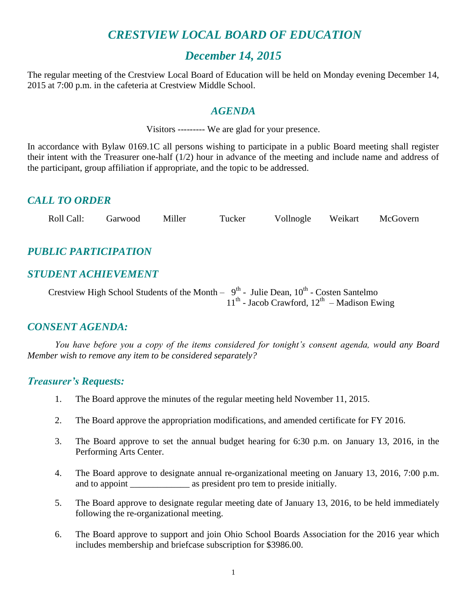# *CRESTVIEW LOCAL BOARD OF EDUCATION*

### *December 14, 2015*

The regular meeting of the Crestview Local Board of Education will be held on Monday evening December 14, 2015 at 7:00 p.m. in the cafeteria at Crestview Middle School.

### *AGENDA*

Visitors --------- We are glad for your presence.

In accordance with Bylaw 0169.1C all persons wishing to participate in a public Board meeting shall register their intent with the Treasurer one-half (1/2) hour in advance of the meeting and include name and address of the participant, group affiliation if appropriate, and the topic to be addressed.

### *CALL TO ORDER*

|  | Roll Call: | Garwood | Miller | Tucker | Vollnogle | Weikart | McGovern |
|--|------------|---------|--------|--------|-----------|---------|----------|
|--|------------|---------|--------|--------|-----------|---------|----------|

# *PUBLIC PARTICIPATION*

### *STUDENT ACHIEVEMENT*

Crestview High School Students of the Month  $-9<sup>th</sup>$  - Julie Dean,  $10<sup>th</sup>$  - Costen Santelmo  $11<sup>th</sup>$  - Jacob Crawford,  $12<sup>th</sup>$  – Madison Ewing

### *CONSENT AGENDA:*

*You have before you a copy of the items considered for tonight's consent agenda, would any Board Member wish to remove any item to be considered separately?*

### *Treasurer's Requests:*

- 1. The Board approve the minutes of the regular meeting held November 11, 2015.
- 2. The Board approve the appropriation modifications, and amended certificate for FY 2016.
- 3. The Board approve to set the annual budget hearing for 6:30 p.m. on January 13, 2016, in the Performing Arts Center.
- 4. The Board approve to designate annual re-organizational meeting on January 13, 2016, 7:00 p.m. and to appoint \_\_\_\_\_\_\_\_\_\_\_\_\_\_\_\_\_\_ as president pro tem to preside initially.
- 5. The Board approve to designate regular meeting date of January 13, 2016, to be held immediately following the re-organizational meeting.
- 6. The Board approve to support and join Ohio School Boards Association for the 2016 year which includes membership and briefcase subscription for \$3986.00.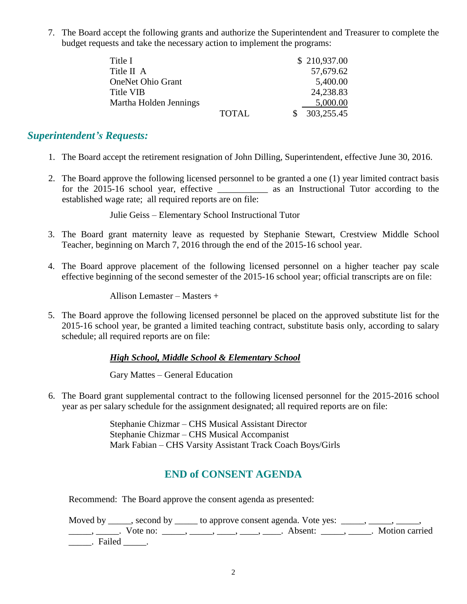7. The Board accept the following grants and authorize the Superintendent and Treasurer to complete the budget requests and take the necessary action to implement the programs:

| Title I                  |              | \$210,937.00 |  |
|--------------------------|--------------|--------------|--|
| Title II A               |              | 57,679.62    |  |
| <b>OneNet Ohio Grant</b> |              | 5,400.00     |  |
| Title VIB                |              | 24,238.83    |  |
| Martha Holden Jennings   |              | 5,000.00     |  |
|                          | <b>TOTAL</b> | 303,255.45   |  |

### *Superintendent's Requests:*

- 1. The Board accept the retirement resignation of John Dilling, Superintendent, effective June 30, 2016.
- 2. The Board approve the following licensed personnel to be granted a one (1) year limited contract basis for the 2015-16 school year, effective as an Instructional Tutor according to the established wage rate; all required reports are on file:

Julie Geiss – Elementary School Instructional Tutor

- 3. The Board grant maternity leave as requested by Stephanie Stewart, Crestview Middle School Teacher, beginning on March 7, 2016 through the end of the 2015-16 school year.
- 4. The Board approve placement of the following licensed personnel on a higher teacher pay scale effective beginning of the second semester of the 2015-16 school year; official transcripts are on file:

Allison Lemaster – Masters +

5. The Board approve the following licensed personnel be placed on the approved substitute list for the 2015-16 school year, be granted a limited teaching contract, substitute basis only, according to salary schedule; all required reports are on file:

### *High School, Middle School & Elementary School*

Gary Mattes – General Education

6. The Board grant supplemental contract to the following licensed personnel for the 2015-2016 school year as per salary schedule for the assignment designated; all required reports are on file:

> Stephanie Chizmar – CHS Musical Assistant Director Stephanie Chizmar – CHS Musical Accompanist Mark Fabian – CHS Varsity Assistant Track Coach Boys/Girls

### **END of CONSENT AGENDA**

Recommend: The Board approve the consent agenda as presented:

Moved by \_\_\_\_\_, second by \_\_\_\_\_ to approve consent agenda. Vote yes: \_\_\_\_\_, \_\_\_\_\_, \_\_\_\_\_,  $\frac{1}{1}$ ,  $\frac{1}{1}$ . Vote no:  $\frac{1}{1}$ ,  $\frac{1}{1}$ ,  $\frac{1}{1}$ ,  $\frac{1}{1}$ ,  $\frac{1}{1}$ ,  $\frac{1}{1}$ ,  $\frac{1}{1}$ ,  $\frac{1}{1}$ ,  $\frac{1}{1}$ ,  $\frac{1}{1}$ ,  $\frac{1}{1}$ ,  $\frac{1}{1}$ ,  $\frac{1}{1}$ ,  $\frac{1}{1}$ ,  $\frac{1}{1}$ ,  $\frac{1}{1}$ ,  $\frac{1}{1}$ ,  $\frac$ \_\_\_\_\_. Failed \_\_\_\_\_.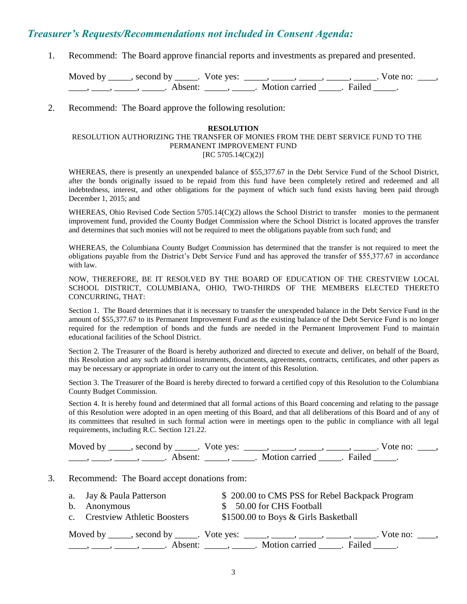### *Treasurer's Requests/Recommendations not included in Consent Agenda:*

1. Recommend: The Board approve financial reports and investments as prepared and presented.

Moved by \_\_\_\_\_, second by \_\_\_\_\_. Vote yes: \_\_\_\_\_, \_\_\_\_\_, \_\_\_\_\_, \_\_\_\_\_, \_\_\_\_\_. Vote no: \_\_\_\_, ——, ——, ——, ———, Absent: \_\_\_\_\_, \_\_\_\_\_. Motion carried \_\_\_\_\_. Failed \_\_\_\_.

2. Recommend: The Board approve the following resolution:

#### **RESOLUTION**

#### RESOLUTION AUTHORIZING THE TRANSFER OF MONIES FROM THE DEBT SERVICE FUND TO THE PERMANENT IMPROVEMENT FUND  $[RC 5705.14(C)(2)]$

WHEREAS, there is presently an unexpended balance of \$55,377.67 in the Debt Service Fund of the School District, after the bonds originally issued to be repaid from this fund have been completely retired and redeemed and all indebtedness, interest, and other obligations for the payment of which such fund exists having been paid through December 1, 2015; and

WHEREAS, Ohio Revised Code Section 5705.14(C)(2) allows the School District to transfer monies to the permanent improvement fund, provided the County Budget Commission where the School District is located approves the transfer and determines that such monies will not be required to meet the obligations payable from such fund; and

WHEREAS, the Columbiana County Budget Commission has determined that the transfer is not required to meet the obligations payable from the District's Debt Service Fund and has approved the transfer of \$55,377.67 in accordance with law.

NOW, THEREFORE, BE IT RESOLVED BY THE BOARD OF EDUCATION OF THE CRESTVIEW LOCAL SCHOOL DISTRICT, COLUMBIANA, OHIO, TWO-THIRDS OF THE MEMBERS ELECTED THERETO CONCURRING, THAT:

Section 1. The Board determines that it is necessary to transfer the unexpended balance in the Debt Service Fund in the amount of \$55,377.67 to its Permanent Improvement Fund as the existing balance of the Debt Service Fund is no longer required for the redemption of bonds and the funds are needed in the Permanent Improvement Fund to maintain educational facilities of the School District.

Section 2. The Treasurer of the Board is hereby authorized and directed to execute and deliver, on behalf of the Board, this Resolution and any such additional instruments, documents, agreements, contracts, certificates, and other papers as may be necessary or appropriate in order to carry out the intent of this Resolution.

Section 3. The Treasurer of the Board is hereby directed to forward a certified copy of this Resolution to the Columbiana County Budget Commission.

Section 4. It is hereby found and determined that all formal actions of this Board concerning and relating to the passage of this Resolution were adopted in an open meeting of this Board, and that all deliberations of this Board and of any of its committees that resulted in such formal action were in meetings open to the public in compliance with all legal requirements, including R.C. Section 121.22.

| Moved by | second by           | Vote yes: |                |        | vote no: |  |
|----------|---------------------|-----------|----------------|--------|----------|--|
|          | Absent <sup>.</sup> |           | Motion carried | Failed |          |  |

#### 3. Recommend: The Board accept donations from:

| a. Jay & Paula Patterson       | \$200.00 to CMS PSS for Rebel Backpack Program                                               |
|--------------------------------|----------------------------------------------------------------------------------------------|
| b. Anonymous                   | \$ 50.00 for CHS Football                                                                    |
| c. Crestview Athletic Boosters | \$1500.00 to Boys & Girls Basketball                                                         |
|                                | Moved by _____, second by _____. Vote yes: _____, _____, _____, _____, _____. Vote no: ____, |
|                                | Absent: _____, ______. Motion carried ______. Failed _____.                                  |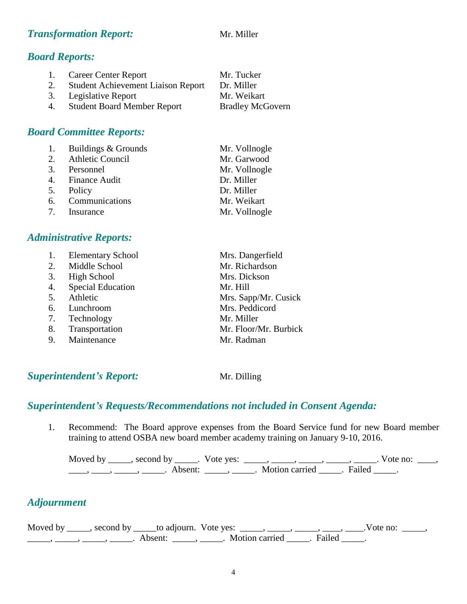### **Transformation Report:** Mr. Miller

### *Board Reports:*

| 1. | <b>Career Center Report</b>               | Mr. Tucker              |
|----|-------------------------------------------|-------------------------|
| 2. | <b>Student Achievement Liaison Report</b> | Dr. Miller              |
|    | 3. Legislative Report                     | Mr. Weikart             |
| 4. | <b>Student Board Member Report</b>        | <b>Bradley McGovern</b> |

### *Board Committee Reports:*

| 1. Buildings & Grounds | Mr. Vollnogle |
|------------------------|---------------|
| 2. Athletic Council    | Mr. Garwood   |
| 3. Personnel           | Mr. Vollnogle |
| 4. Finance Audit       | Dr. Miller    |
| 5. Policy              | Dr. Miller    |
| 6. Communications      | Mr. Weikart   |
| 7. Insurance           | Mr. Vollnogle |

### *Administrative Reports:*

| 1. | <b>Elementary School</b> | Mrs. Dangerfield      |
|----|--------------------------|-----------------------|
|    | 2. Middle School         | Mr. Richardson        |
| 3. | High School              | Mrs. Dickson          |
| 4. | <b>Special Education</b> | Mr. Hill              |
| 5. | Athletic                 | Mrs. Sapp/Mr. Cusick  |
| 6. | Lunchroom                | Mrs. Peddicord        |
|    | 7. Technology            | Mr. Miller            |
| 8. | Transportation           | Mr. Floor/Mr. Burbick |
|    | 9. Maintenance           | Mr. Radman            |

### **Superintendent's Report:** Mr. Dilling

### *Superintendent's Requests/Recommendations not included in Consent Agenda:*

1. Recommend: The Board approve expenses from the Board Service fund for new Board member training to attend OSBA new board member academy training on January 9-10, 2016.

Moved by \_\_\_\_\_, second by \_\_\_\_\_. Vote yes:  $\_\_\_\_\_\_\_\_\_\_\_\_\_\_\_$  \_\_\_\_\_, \_\_\_\_\_, \_\_\_\_\_. Vote no:  $\_\_\_\_\_\_\$ \_\_\_\_\_, \_\_\_\_\_\_, \_\_\_\_\_\_\_. Absent: \_\_\_\_\_\_, \_\_\_\_\_\_. Motion carried \_\_\_\_\_\_. Failed \_\_\_\_\_.

# *Adjournment*

| Moved by ______, second by ______ to adjourn. Vote yes: |                     |                         |  | . Vote no: |  |
|---------------------------------------------------------|---------------------|-------------------------|--|------------|--|
|                                                         | Absent <sup>.</sup> | Motion carried . Failed |  |            |  |